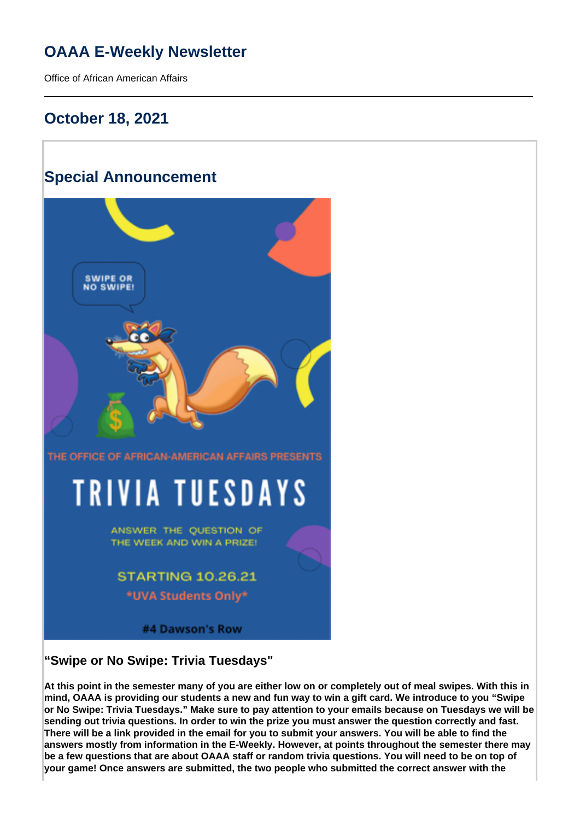# **OAAA E-Weekly Newsletter**

Office of African American Affairs

## **October 18, 2021**

## **Special Announcement**



#4 Dawson's Row

### **"Swipe or No Swipe: Trivia Tuesdays"**

**At this point in the semester many of you are either low on or completely out of meal swipes. With this in mind, OAAA is providing our students a new and fun way to win a gift card. We introduce to you "Swipe or No Swipe: Trivia Tuesdays." Make sure to pay attention to your emails because on Tuesdays we will be sending out trivia questions. In order to win the prize you must answer the question correctly and fast. There will be a link provided in the email for you to submit your answers. You will be able to find the answers mostly from information in the E-Weekly. However, at points throughout the semester there may be a few questions that are about OAAA staff or random trivia questions. You will need to be on top of your game! Once answers are submitted, the two people who submitted the correct answer with the**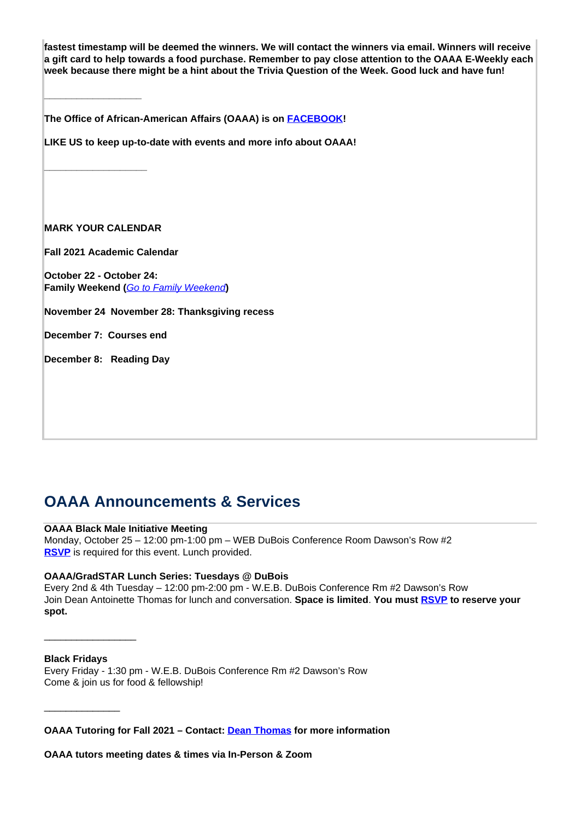**fastest timestamp will be deemed the winners. We will contact the winners via email. Winners will receive a gift card to help towards a food purchase. Remember to pay close attention to the OAAA E-Weekly each week because there might be a hint about the Trivia Question of the Week. Good luck and have fun!** 

**The Office of African-American Affairs (OAAA) is on [FACEBOOK](https://www.facebook.com/OfficeofAfricanAmericanAffairs)!**

**LIKE US to keep up-to-date with events and more info about OAAA!**

**MARK YOUR CALENDAR**

**\_\_\_\_\_\_\_\_\_\_\_\_\_\_\_\_\_\_**

**\_\_\_\_\_\_\_\_\_\_\_\_\_\_\_\_\_\_\_**

**Fall 2021 Academic Calendar** 

**October 22 - October 24: Family Weekend (**Go to Family Weekend**)**

**November 24 November 28: Thanksgiving recess**

**December 7: Courses end**

**December 8: Reading Day**

## **OAAA Announcements & Services**

### **OAAA Black Male Initiative Meeting**

Monday, October 25 – 12:00 pm-1:00 pm – WEB DuBois Conference Room Dawson's Row #2 **RSVP** is required for this event. Lunch provided.

### **OAAA/GradSTAR Lunch Series: Tuesdays @ DuBois**

Every 2nd & 4th Tuesday – 12:00 pm-2:00 pm - W.E.B. DuBois Conference Rm #2 Dawson's Row Join Dean Antoinette Thomas for lunch and conversation. **Space is limited**. **You must RSVP to reserve your spot.**

#### **Black Fridays**

\_\_\_\_\_\_\_\_\_\_\_\_\_\_

\_\_\_\_\_\_\_\_\_\_\_\_\_\_\_\_\_

Every Friday - 1:30 pm - W.E.B. DuBois Conference Rm #2 Dawson's Row Come & join us for food & fellowship!

**OAAA Tutoring for Fall 2021 – Contact: Dean Thomas for more information**

**OAAA tutors meeting dates & times via In-Person & Zoom**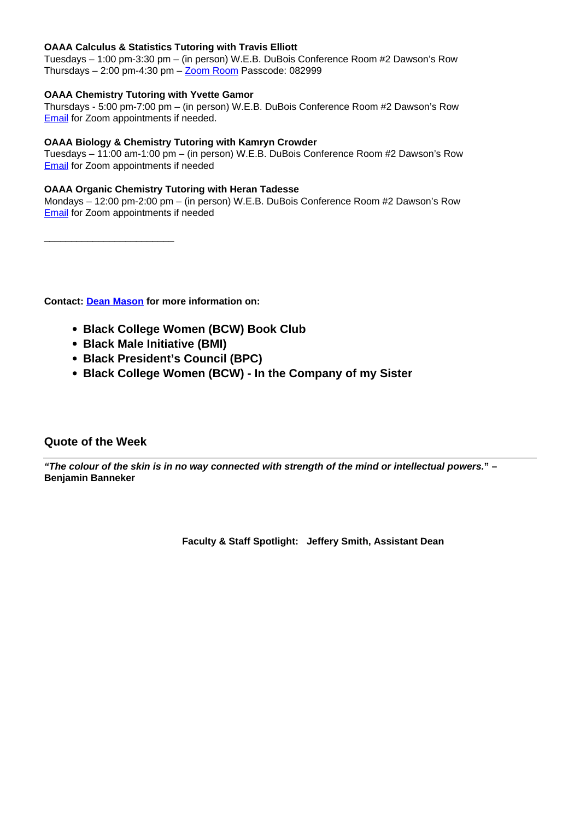### **OAAA Calculus & Statistics Tutoring with Travis Elliott**

Tuesdays – 1:00 pm-3:30 pm – (in person) W.E.B. DuBois Conference Room #2 Dawson's Row Thursdays  $-2:00$  pm-4:30 pm  $-\underline{Zoom}$  Room Passcode: 082999

### **OAAA Chemistry Tutoring with Yvette Gamor**

Thursdays - 5:00 pm-7:00 pm – (in person) W.E.B. DuBois Conference Room #2 Dawson's Row **Email** for Zoom appointments if needed.

### **OAAA Biology & Chemistry Tutoring with Kamryn Crowder**

Tuesdays – 11:00 am-1:00 pm – (in person) W.E.B. DuBois Conference Room #2 Dawson's Row Email for Zoom appointments if needed

### **OAAA Organic Chemistry Tutoring with Heran Tadesse**

Mondays – 12:00 pm-2:00 pm – (in person) W.E.B. DuBois Conference Room #2 Dawson's Row Email for Zoom appointments if needed

\_\_\_\_\_\_\_\_\_\_\_\_\_\_\_\_\_\_\_\_\_\_\_\_

**Contact: Dean Mason for more information on:** 

- **Black College Women (BCW) Book Club**
- **Black Male Initiative (BMI)**
- **Black President's Council (BPC)**
- **Black College Women (BCW) In the Company of my Sister**

### **Quote of the Week**

**"The colour of the skin is in no way connected with strength of the mind or intellectual powers." – Benjamin Banneker**

**Faculty & Staff Spotlight: Jeffery Smith, Assistant Dean**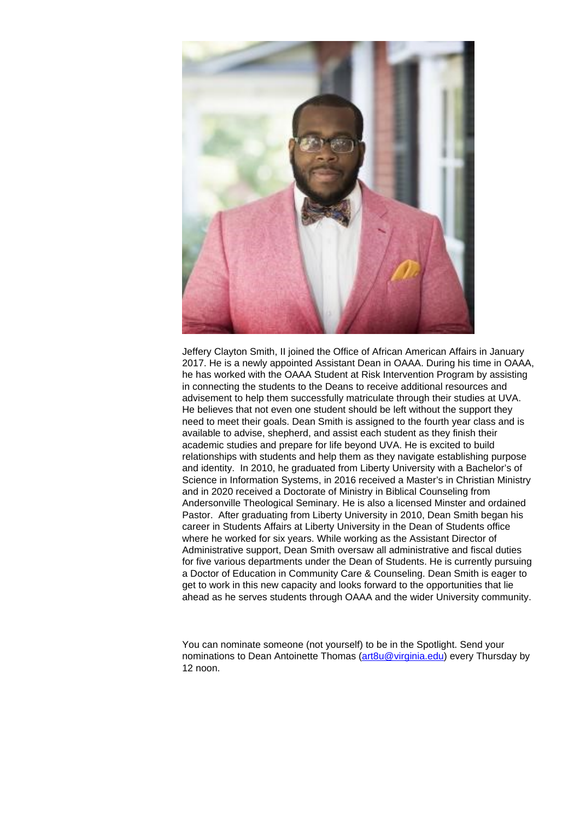

Jeffery Clayton Smith, II joined the Office of African American Affairs in January 2017. He is a newly appointed Assistant Dean in OAAA. During his time in OAAA, he has worked with the OAAA Student at Risk Intervention Program by assisting in connecting the students to the Deans to receive additional resources and advisement to help them successfully matriculate through their studies at UVA. He believes that not even one student should be left without the support they need to meet their goals. Dean Smith is assigned to the fourth year class and is available to advise, shepherd, and assist each student as they finish their academic studies and prepare for life beyond UVA. He is excited to build relationships with students and help them as they navigate establishing purpose and identity. In 2010, he graduated from Liberty University with a Bachelor's of Science in Information Systems, in 2016 received a Master's in Christian Ministry and in 2020 received a Doctorate of Ministry in Biblical Counseling from Andersonville Theological Seminary. He is also a licensed Minster and ordained Pastor. After graduating from Liberty University in 2010, Dean Smith began his career in Students Affairs at Liberty University in the Dean of Students office where he worked for six years. While working as the Assistant Director of Administrative support, Dean Smith oversaw all administrative and fiscal duties for five various departments under the Dean of Students. He is currently pursuing a Doctor of Education in Community Care & Counseling. Dean Smith is eager to get to work in this new capacity and looks forward to the opportunities that lie ahead as he serves students through OAAA and the wider University community.

You can nominate someone (not yourself) to be in the Spotlight. Send your nominations to Dean Antoinette Thomas (art8u@virginia.edu) every Thursday by  $12 \text{ non}$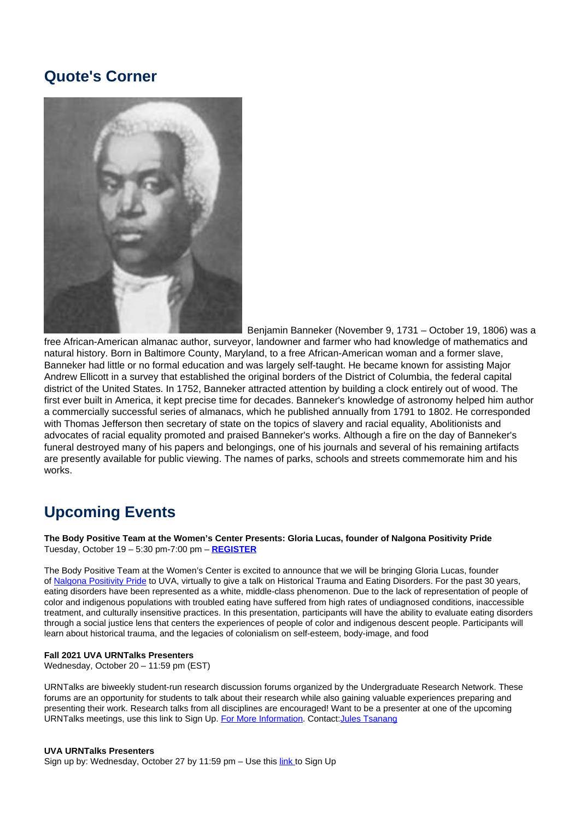## **Quote's Corner**



Benjamin Banneker (November 9, 1731 – October 19, 1806) was a

free African-American almanac author, surveyor, landowner and farmer who had knowledge of mathematics and natural history. Born in Baltimore County, Maryland, to a free African-American woman and a former slave, Banneker had little or no formal education and was largely self-taught. He became known for assisting Major Andrew Ellicott in a survey that established the original borders of the District of Columbia, the federal capital district of the United States. In 1752, Banneker attracted attention by building a clock entirely out of wood. The first ever built in America, it kept precise time for decades. Banneker's knowledge of astronomy helped him author a commercially successful series of almanacs, which he published annually from 1791 to 1802. He corresponded with Thomas Jefferson then secretary of state on the topics of slavery and racial equality, Abolitionists and advocates of racial equality promoted and praised Banneker's works. Although a fire on the day of Banneker's funeral destroyed many of his papers and belongings, one of his journals and several of his remaining artifacts are presently available for public viewing. The names of parks, schools and streets commemorate him and his works.

## **Upcoming Events**

**The Body Positive Team at the Women's Center Presents: Gloria Lucas, founder of Nalgona Positivity Pride** Tuesday, October 19 – 5:30 pm-7:00 pm – **REGISTER**

The Body Positive Team at the Women's Center is excited to announce that we will be bringing Gloria Lucas, founder of Nalgona Positivity Pride to UVA, virtually to give a talk on Historical Trauma and Eating Disorders. For the past 30 years, eating disorders have been represented as a white, middle-class phenomenon. Due to the lack of representation of people of color and indigenous populations with troubled eating have suffered from high rates of undiagnosed conditions, inaccessible treatment, and culturally insensitive practices. In this presentation, participants will have the ability to evaluate eating disorders through a social justice lens that centers the experiences of people of color and indigenous descent people. Participants will learn about historical trauma, and the legacies of colonialism on self-esteem, body-image, and food

#### **Fall 2021 UVA URNTalks Presenters**

Wednesday, October 20 – 11:59 pm (EST)

URNTalks are biweekly student-run research discussion forums organized by the Undergraduate Research Network. These forums are an opportunity for students to talk about their research while also gaining valuable experiences preparing and presenting their work. Research talks from all disciplines are encouraged! Want to be a presenter at one of the upcoming URNTalks meetings, use this link to Sign Up. For More Information. Contact: Jules Tsanang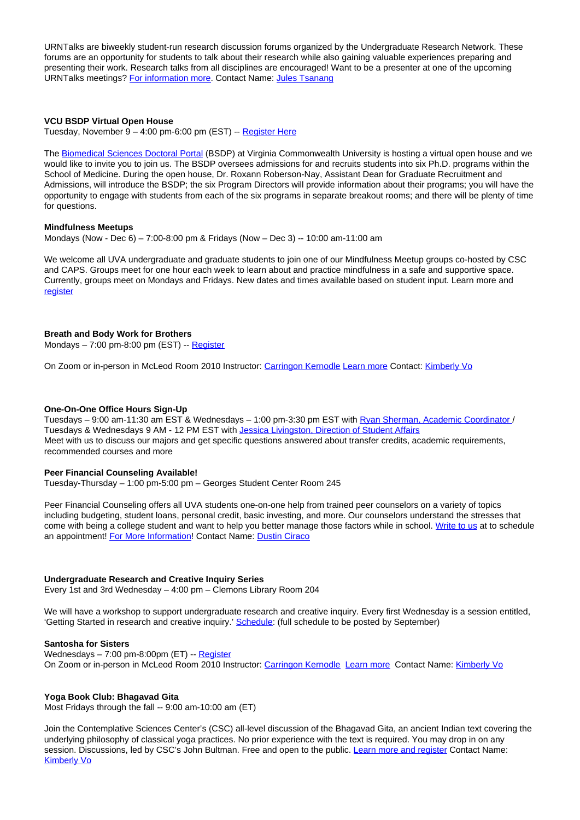URNTalks are biweekly student-run research discussion forums organized by the Undergraduate Research Network. These forums are an opportunity for students to talk about their research while also gaining valuable experiences preparing and presenting their work. Research talks from all disciplines are encouraged! Want to be a presenter at one of the upcoming URNTalks meetings? For information more. Contact Name: Jules Tsanang

#### **VCU BSDP Virtual Open House**

Tuesday, November 9 – 4:00 pm-6:00 pm (EST) -- Register Here

The Biomedical Sciences Doctoral Portal (BSDP) at Virginia Commonwealth University is hosting a virtual open house and we would like to invite you to join us. The BSDP oversees admissions for and recruits students into six Ph.D. programs within the School of Medicine. During the open house, Dr. Roxann Roberson-Nay, Assistant Dean for Graduate Recruitment and Admissions, will introduce the BSDP; the six Program Directors will provide information about their programs; you will have the opportunity to engage with students from each of the six programs in separate breakout rooms; and there will be plenty of time for questions.

#### **Mindfulness Meetups**

Mondays (Now - Dec 6) – 7:00-8:00 pm & Fridays (Now – Dec 3) -- 10:00 am-11:00 am

We welcome all UVA undergraduate and graduate students to join one of our Mindfulness Meetup groups co-hosted by CSC and CAPS. Groups meet for one hour each week to learn about and practice mindfulness in a safe and supportive space. Currently, groups meet on Mondays and Fridays. New dates and times available based on student input. Learn more and register

#### **Breath and Body Work for Brothers**

Mondays – 7:00 pm-8:00 pm (EST) -- Register

On Zoom or in-person in McLeod Room 2010 Instructor: Carringon Kernodle Learn more Contact: Kimberly Vo

#### **One-On-One Office Hours Sign-Up**

Tuesdays – 9:00 am-11:30 am EST & Wednesdays – 1:00 pm-3:30 pm EST with Ryan Sherman, Academic Coordinator / Tuesdays & Wednesdays 9 AM - 12 PM EST with Jessica Livingston, Direction of Student Affairs Meet with us to discuss our majors and get specific questions answered about transfer credits, academic requirements, recommended courses and more

#### **Peer Financial Counseling Available!**

Tuesday-Thursday – 1:00 pm-5:00 pm – Georges Student Center Room 245

Peer Financial Counseling offers all UVA students one-on-one help from trained peer counselors on a variety of topics including budgeting, student loans, personal credit, basic investing, and more. Our counselors understand the stresses that come with being a college student and want to help you better manage those factors while in school. Write to us at to schedule an appointment! For More Information! Contact Name: Dustin Ciraco

#### **Undergraduate Research and Creative Inquiry Series**

Every 1st and 3rd Wednesday – 4:00 pm – Clemons Library Room 204

We will have a workshop to support undergraduate research and creative inquiry. Every first Wednesday is a session entitled, 'Getting Started in research and creative inquiry.' Schedule: (full schedule to be posted by September)

#### **Santosha for Sisters**

Wednesdays – 7:00 pm-8:00pm (ET) -- Register On Zoom or in-person in McLeod Room 2010 Instructor: Carringon Kernodle Learn more Contact Name: Kimberly Vo

#### **Yoga Book Club: Bhagavad Gita**

Most Fridays through the fall -- 9:00 am-10:00 am (ET)

Join the Contemplative Sciences Center's (CSC) all-level discussion of the Bhagavad Gita, an ancient Indian text covering the underlying philosophy of classical yoga practices. No prior experience with the text is required. You may drop in on any session. Discussions, led by CSC's John Bultman. Free and open to the public. Learn more and register Contact Name: Kimberly Vo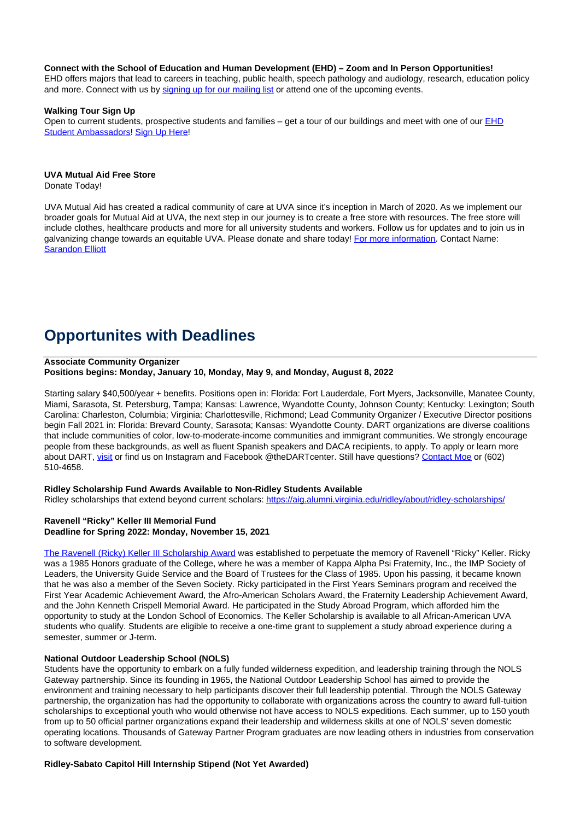#### **Connect with the School of Education and Human Development (EHD) – Zoom and In Person Opportunities!**

EHD offers majors that lead to careers in teaching, public health, speech pathology and audiology, research, education policy and more. Connect with us by signing up for our mailing list or attend one of the upcoming events.

#### **Walking Tour Sign Up**

Open to current students, prospective students and families - get a tour of our buildings and meet with one of our **EHD** Student Ambassadors! Sign Up Here!

#### **UVA Mutual Aid Free Store**

Donate Today!

UVA Mutual Aid has created a radical community of care at UVA since it's inception in March of 2020. As we implement our broader goals for Mutual Aid at UVA, the next step in our journey is to create a free store with resources. The free store will include clothes, healthcare products and more for all university students and workers. Follow us for updates and to join us in galvanizing change towards an equitable UVA. Please donate and share today! For more information. Contact Name: Sarandon Elliott

## **Opportunites with Deadlines**

#### **Associate Community Organizer Positions begins: Monday, January 10, Monday, May 9, and Monday, August 8, 2022**

Starting salary \$40,500/year + benefits. Positions open in: Florida: Fort Lauderdale, Fort Myers, Jacksonville, Manatee County, Miami, Sarasota, St. Petersburg, Tampa; Kansas: Lawrence, Wyandotte County, Johnson County; Kentucky: Lexington; South Carolina: Charleston, Columbia; Virginia: Charlottesville, Richmond; Lead Community Organizer / Executive Director positions begin Fall 2021 in: Florida: Brevard County, Sarasota; Kansas: Wyandotte County. DART organizations are diverse coalitions that include communities of color, low-to-moderate-income communities and immigrant communities. We strongly encourage people from these backgrounds, as well as fluent Spanish speakers and DACA recipients, to apply. To apply or learn more about DART, visit or find us on Instagram and Facebook @theDARTcenter. Still have questions? Contact Moe or (602) 510-4658.

#### **Ridley Scholarship Fund Awards Available to Non-Ridley Students Available**

Ridley scholarships that extend beyond current scholars: https://aig.alumni.virginia.edu/ridley/about/ridley-scholarships/

#### **Ravenell "Ricky" Keller III Memorial Fund Deadline for Spring 2022: Monday, November 15, 2021**

The Ravenell (Ricky) Keller III Scholarship Award was established to perpetuate the memory of Ravenell "Ricky" Keller. Ricky was a 1985 Honors graduate of the College, where he was a member of Kappa Alpha Psi Fraternity, Inc., the IMP Society of Leaders, the University Guide Service and the Board of Trustees for the Class of 1985. Upon his passing, it became known that he was also a member of the Seven Society. Ricky participated in the First Years Seminars program and received the First Year Academic Achievement Award, the Afro-American Scholars Award, the Fraternity Leadership Achievement Award, and the John Kenneth Crispell Memorial Award. He participated in the Study Abroad Program, which afforded him the opportunity to study at the London School of Economics. The Keller Scholarship is available to all African-American UVA students who qualify. Students are eligible to receive a one-time grant to supplement a study abroad experience during a semester, summer or J-term.

#### **National Outdoor Leadership School (NOLS)**

Students have the opportunity to embark on a fully funded wilderness expedition, and leadership training through the NOLS Gateway partnership. Since its founding in 1965, the National Outdoor Leadership School has aimed to provide the environment and training necessary to help participants discover their full leadership potential. Through the NOLS Gateway partnership, the organization has had the opportunity to collaborate with organizations across the country to award full-tuition scholarships to exceptional youth who would otherwise not have access to NOLS expeditions. Each summer, up to 150 youth from up to 50 official partner organizations expand their leadership and wilderness skills at one of NOLS' seven domestic operating locations. Thousands of Gateway Partner Program graduates are now leading others in industries from conservation to software development.

#### **Ridley-Sabato Capitol Hill Internship Stipend (Not Yet Awarded)**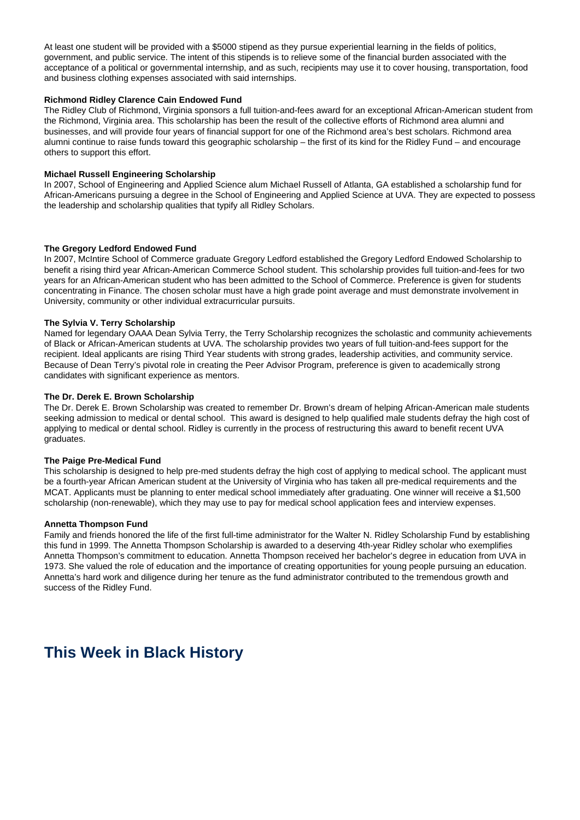At least one student will be provided with a \$5000 stipend as they pursue experiential learning in the fields of politics, government, and public service. The intent of this stipends is to relieve some of the financial burden associated with the acceptance of a political or governmental internship, and as such, recipients may use it to cover housing, transportation, food and business clothing expenses associated with said internships.

#### **Richmond Ridley Clarence Cain Endowed Fund**

The Ridley Club of Richmond, Virginia sponsors a full tuition-and-fees award for an exceptional African-American student from the Richmond, Virginia area. This scholarship has been the result of the collective efforts of Richmond area alumni and businesses, and will provide four years of financial support for one of the Richmond area's best scholars. Richmond area alumni continue to raise funds toward this geographic scholarship – the first of its kind for the Ridley Fund – and encourage others to support this effort.

#### **Michael Russell Engineering Scholarship**

In 2007, School of Engineering and Applied Science alum Michael Russell of Atlanta, GA established a scholarship fund for African-Americans pursuing a degree in the School of Engineering and Applied Science at UVA. They are expected to possess the leadership and scholarship qualities that typify all Ridley Scholars.

#### **The Gregory Ledford Endowed Fund**

In 2007, McIntire School of Commerce graduate Gregory Ledford established the Gregory Ledford Endowed Scholarship to benefit a rising third year African-American Commerce School student. This scholarship provides full tuition-and-fees for two years for an African-American student who has been admitted to the School of Commerce. Preference is given for students concentrating in Finance. The chosen scholar must have a high grade point average and must demonstrate involvement in University, community or other individual extracurricular pursuits.

#### **The Sylvia V. Terry Scholarship**

Named for legendary OAAA Dean Sylvia Terry, the Terry Scholarship recognizes the scholastic and community achievements of Black or African-American students at UVA. The scholarship provides two years of full tuition-and-fees support for the recipient. Ideal applicants are rising Third Year students with strong grades, leadership activities, and community service. Because of Dean Terry's pivotal role in creating the Peer Advisor Program, preference is given to academically strong candidates with significant experience as mentors.

#### **The Dr. Derek E. Brown Scholarship**

The Dr. Derek E. Brown Scholarship was created to remember Dr. Brown's dream of helping African-American male students seeking admission to medical or dental school. This award is designed to help qualified male students defray the high cost of applying to medical or dental school. Ridley is currently in the process of restructuring this award to benefit recent UVA graduates.

#### **The Paige Pre-Medical Fund**

This scholarship is designed to help pre-med students defray the high cost of applying to medical school. The applicant must be a fourth-year African American student at the University of Virginia who has taken all pre-medical requirements and the MCAT. Applicants must be planning to enter medical school immediately after graduating. One winner will receive a \$1,500 scholarship (non-renewable), which they may use to pay for medical school application fees and interview expenses.

#### **Annetta Thompson Fund**

Family and friends honored the life of the first full-time administrator for the Walter N. Ridley Scholarship Fund by establishing this fund in 1999. The Annetta Thompson Scholarship is awarded to a deserving 4th-year Ridley scholar who exemplifies Annetta Thompson's commitment to education. Annetta Thompson received her bachelor's degree in education from UVA in 1973. She valued the role of education and the importance of creating opportunities for young people pursuing an education. Annetta's hard work and diligence during her tenure as the fund administrator contributed to the tremendous growth and success of the Ridley Fund.

## **This Week in Black History**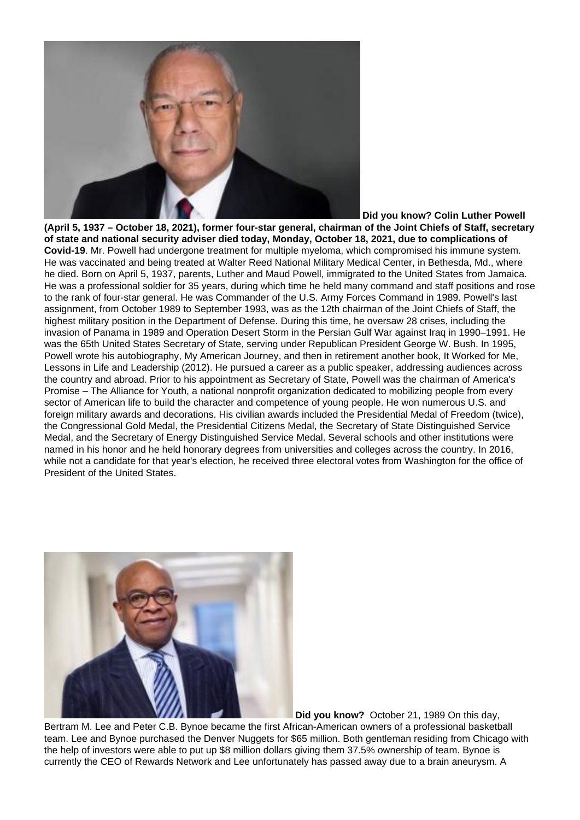

**(April 5, 1937 – October 18, 2021), former four-star general, chairman of the Joint Chiefs of Staff, secretary of state and national security adviser died today, Monday, October 18, 2021, due to complications of Covid-19**. Mr. Powell had undergone treatment for multiple myeloma, which compromised his immune system. He was vaccinated and being treated at Walter Reed National Military Medical Center, in Bethesda, Md., where he died. Born on April 5, 1937, parents, Luther and Maud Powell, immigrated to the United States from Jamaica. He was a professional soldier for 35 years, during which time he held many command and staff positions and rose to the rank of four-star general. He was Commander of the U.S. Army Forces Command in 1989. Powell's last assignment, from October 1989 to September 1993, was as the 12th chairman of the Joint Chiefs of Staff, the highest military position in the Department of Defense. During this time, he oversaw 28 crises, including the invasion of Panama in 1989 and Operation Desert Storm in the Persian Gulf War against Iraq in 1990–1991. He was the 65th United States Secretary of State, serving under Republican President George W. Bush. In 1995, Powell wrote his autobiography, My American Journey, and then in retirement another book, It Worked for Me, Lessons in Life and Leadership (2012). He pursued a career as a public speaker, addressing audiences across the country and abroad. Prior to his appointment as Secretary of State, Powell was the chairman of America's Promise – The Alliance for Youth, a national nonprofit organization dedicated to mobilizing people from every sector of American life to build the character and competence of young people. He won numerous U.S. and foreign military awards and decorations. His civilian awards included the Presidential Medal of Freedom (twice), the Congressional Gold Medal, the Presidential Citizens Medal, the Secretary of State Distinguished Service Medal, and the Secretary of Energy Distinguished Service Medal. Several schools and other institutions were named in his honor and he held honorary degrees from universities and colleges across the country. In 2016, while not a candidate for that year's election, he received three electoral votes from Washington for the office of President of the United States.



 **Did you know?** October 21, 1989 On this day,

Bertram M. Lee and Peter C.B. Bynoe became the first African-American owners of a professional basketball team. Lee and Bynoe purchased the Denver Nuggets for \$65 million. Both gentleman residing from Chicago with the help of investors were able to put up \$8 million dollars giving them 37.5% ownership of team. Bynoe is currently the CEO of Rewards Network and Lee unfortunately has passed away due to a brain aneurysm. A